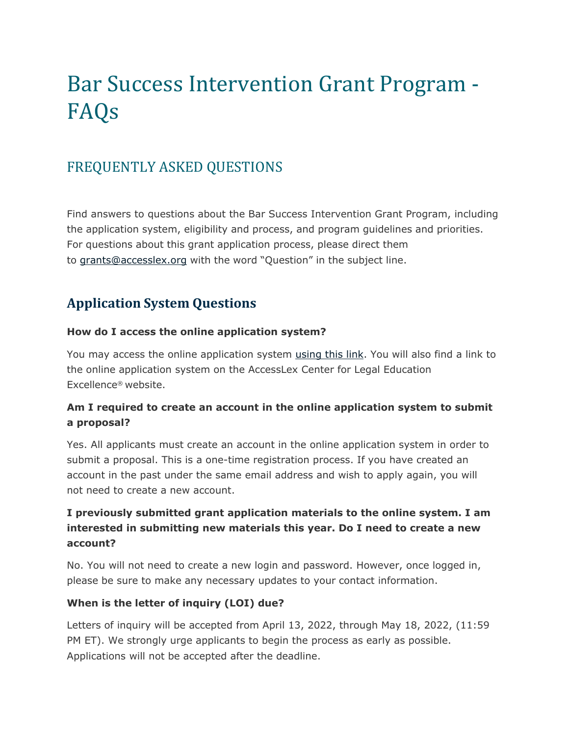# Bar Success Intervention Grant Program - FAQs

# FREQUENTLY ASKED QUESTIONS

Find answers to questions about the Bar Success Intervention Grant Program, including the application system, eligibility and process, and program guidelines and priorities. For questions about this grant application process, please direct them to [grants@accesslex.org](mailto:grants@accesslex.org) with the word "Question" in the subject line.

## **Application System Questions**

#### **How do I access the online application system?**

You may access the online application system [using this link.](https://www.grantinterface.com/Home/Logon?urlkey=accesslex) You will also find a link to the online application system on the AccessLex Center for Legal Education Excellence® website.

### **Am I required to create an account in the online application system to submit a proposal?**

Yes. All applicants must create an account in the online application system in order to submit a proposal. This is a one-time registration process. If you have created an account in the past under the same email address and wish to apply again, you will not need to create a new account.

## **I previously submitted grant application materials to the online system. I am interested in submitting new materials this year. Do I need to create a new account?**

No. You will not need to create a new login and password. However, once logged in, please be sure to make any necessary updates to your contact information.

#### **When is the letter of inquiry (LOI) due?**

Letters of inquiry will be accepted from April 13, 2022, through May 18, 2022, (11:59 PM ET). We strongly urge applicants to begin the process as early as possible. Applications will not be accepted after the deadline.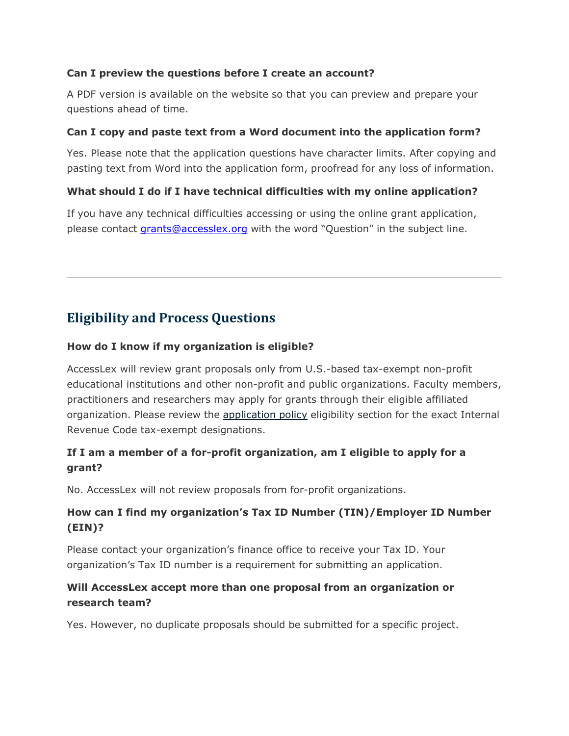#### **Can I preview the questions before I create an account?**

A PDF version is available on the website so that you can preview and prepare your questions ahead of time.

#### **Can I copy and paste text from a Word document into the application form?**

Yes. Please note that the application questions have character limits. After copying and pasting text from Word into the application form, proofread for any loss of information.

#### **What should I do if I have technical difficulties with my online application?**

If you have any technical difficulties accessing or using the online grant application, please contact [grants@accesslex.org](mailto:grants@accesslex.org) with the word "Question" in the subject line.

# **Eligibility and Process Questions**

#### **How do I know if my organization is eligible?**

AccessLex will review grant proposals only from U.S.-based tax-exempt non-profit educational institutions and other non-profit and public organizations. Faculty members, practitioners and researchers may apply for grants through their eligible affiliated organization. Please review the [application policy e](https://www.accesslex.org/grant-application-policy)ligibility section for the exact Internal Revenue Code tax-exempt designations.

### **If I am a member of a for-profit organization, am I eligible to apply for a grant?**

No. AccessLex will not review proposals from for-profit organizations.

### **How can I find my organization's Tax ID Number (TIN)/Employer ID Number (EIN)?**

Please contact your organization's finance office to receive your Tax ID. Your organization's Tax ID number is a requirement for submitting an application.

#### **Will AccessLex accept more than one proposal from an organization or research team?**

Yes. However, no duplicate proposals should be submitted for a specific project.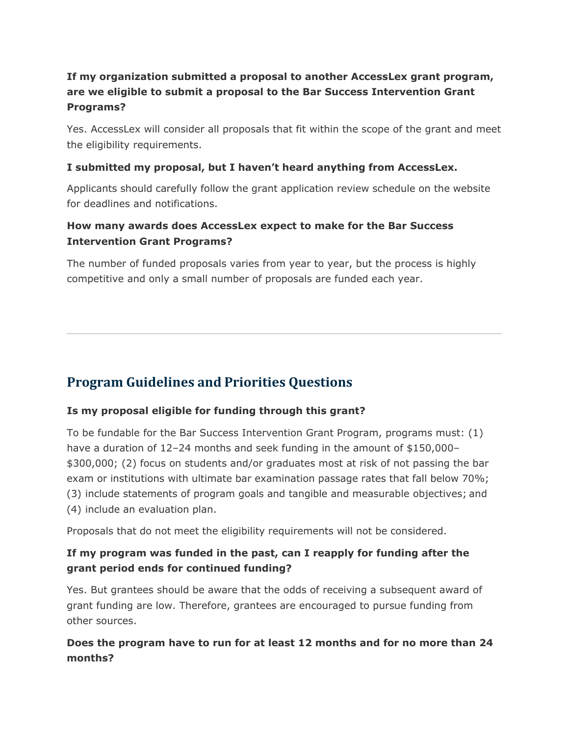## **If my organization submitted a proposal to another AccessLex grant program, are we eligible to submit a proposal to the Bar Success Intervention Grant Programs?**

Yes. AccessLex will consider all proposals that fit within the scope of the grant and meet the eligibility requirements.

#### **I submitted my proposal, but I haven't heard anything from AccessLex.**

Applicants should carefully follow the grant application review schedule on the website for deadlines and notifications.

## **How many awards does AccessLex expect to make for the Bar Success Intervention Grant Programs?**

The number of funded proposals varies from year to year, but the process is highly competitive and only a small number of proposals are funded each year.

# **Program Guidelines and Priorities Questions**

### **Is my proposal eligible for funding through this grant?**

To be fundable for the Bar Success Intervention Grant Program, programs must: (1) have a duration of 12–24 months and seek funding in the amount of \$150,000– \$300,000; (2) focus on students and/or graduates most at risk of not passing the bar exam or institutions with ultimate bar examination passage rates that fall below 70%; (3) include statements of program goals and tangible and measurable objectives; and (4) include an evaluation plan.

Proposals that do not meet the eligibility requirements will not be considered.

### **If my program was funded in the past, can I reapply for funding after the grant period ends for continued funding?**

Yes. But grantees should be aware that the odds of receiving a subsequent award of grant funding are low. Therefore, grantees are encouraged to pursue funding from other sources.

## **Does the program have to run for at least 12 months and for no more than 24 months?**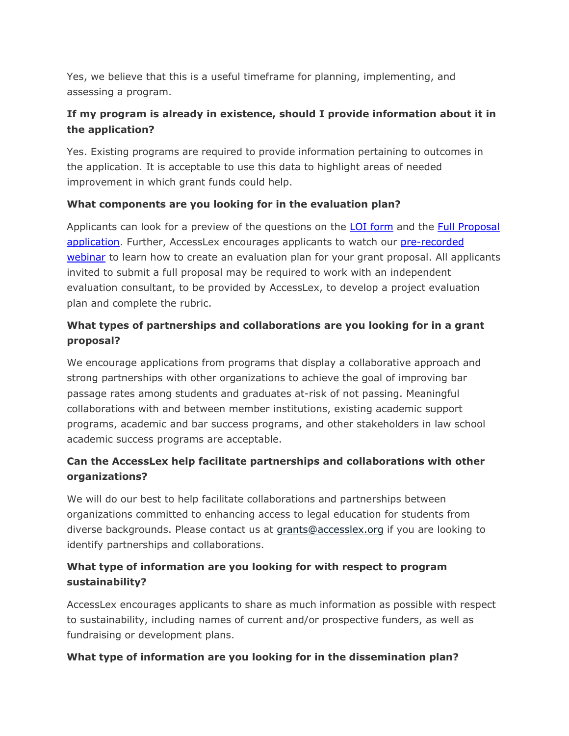Yes, we believe that this is a useful timeframe for planning, implementing, and assessing a program.

## **If my program is already in existence, should I provide information about it in the application?**

Yes. Existing programs are required to provide information pertaining to outcomes in the application. It is acceptable to use this data to highlight areas of needed improvement in which grant funds could help.

#### **What components are you looking for in the evaluation plan?**

Applicants can look for a preview of the questions on the [LOI form](https://www.accesslex.org/sites/default/files/event-uploads/2022-04/Bar_Success_Int_LOI_Questions_Foundant%203.18.22.pdf) and the [Full Proposal](https://www.accesslex.org/sites/default/files/event-uploads/2022-04/Bar%20Success%20Intervention_full%20proposal_040722.pdf) [application.](https://www.accesslex.org/sites/default/files/event-uploads/2020-12/Bar_Success_Int_Full%20Proposal_Questions_Foundant.pdf) Further, AccessLex encourages applicants to watch our [pre-recorded](https://youtu.be/MEib_l556eQ) [webinar](https://youtu.be/MEib_l556eQ) to learn how to create an evaluation plan for your grant proposal. All applicants invited to submit a full proposal may be required to work with an independent evaluation consultant, to be provided by AccessLex, to develop a project evaluation plan and complete the rubric.

## **What types of partnerships and collaborations are you looking for in a grant proposal?**

We encourage applications from programs that display a collaborative approach and strong partnerships with other organizations to achieve the goal of improving bar passage rates among students and graduates at-risk of not passing. Meaningful collaborations with and between member institutions, existing academic support programs, academic and bar success programs, and other stakeholders in law school academic success programs are acceptable.

## **Can the AccessLex help facilitate partnerships and collaborations with other organizations?**

We will do our best to help facilitate collaborations and partnerships between organizations committed to enhancing access to legal education for students from diverse backgrounds. Please contact us at [grants@accesslex.org](mailto:%20grants@accesslex.org) if you are looking to identify partnerships and collaborations.

### **What type of information are you looking for with respect to program sustainability?**

AccessLex encourages applicants to share as much information as possible with respect to sustainability, including names of current and/or prospective funders, as well as fundraising or development plans.

#### **What type of information are you looking for in the dissemination plan?**